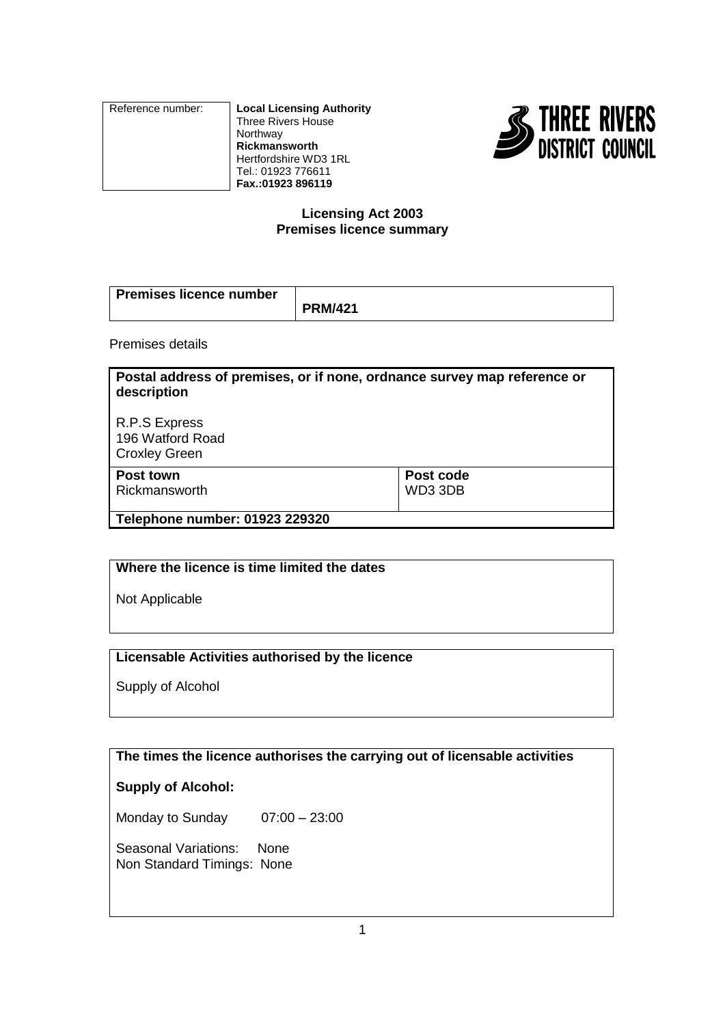| Reference number: | <b>Local Licensing Authority</b><br><b>Three Rivers House</b><br>Northway<br>Rickmansworth<br>Hertfordshire WD3 1RL<br>Tel.: 01923 776611 |
|-------------------|-------------------------------------------------------------------------------------------------------------------------------------------|
|                   | Fax.: 01923 896119                                                                                                                        |



## **Licensing Act 2003 Premises licence summary**

| Premises licence number |                |
|-------------------------|----------------|
|                         | <b>PRM/421</b> |

Premises details

| Postal address of premises, or if none, ordnance survey map reference or<br>description |           |  |
|-----------------------------------------------------------------------------------------|-----------|--|
| R.P.S Express<br>196 Watford Road<br><b>Croxley Green</b>                               |           |  |
| Post town                                                                               | Post code |  |
| Rickmansworth                                                                           | WD33DB    |  |
| Telephone number: 01923 229320                                                          |           |  |

# **Where the licence is time limited the dates**

Not Applicable

# **Licensable Activities authorised by the licence**

Supply of Alcohol

# **The times the licence authorises the carrying out of licensable activities**

## **Supply of Alcohol:**

Monday to Sunday  $07:00 - 23:00$ 

Seasonal Variations: None Non Standard Timings: None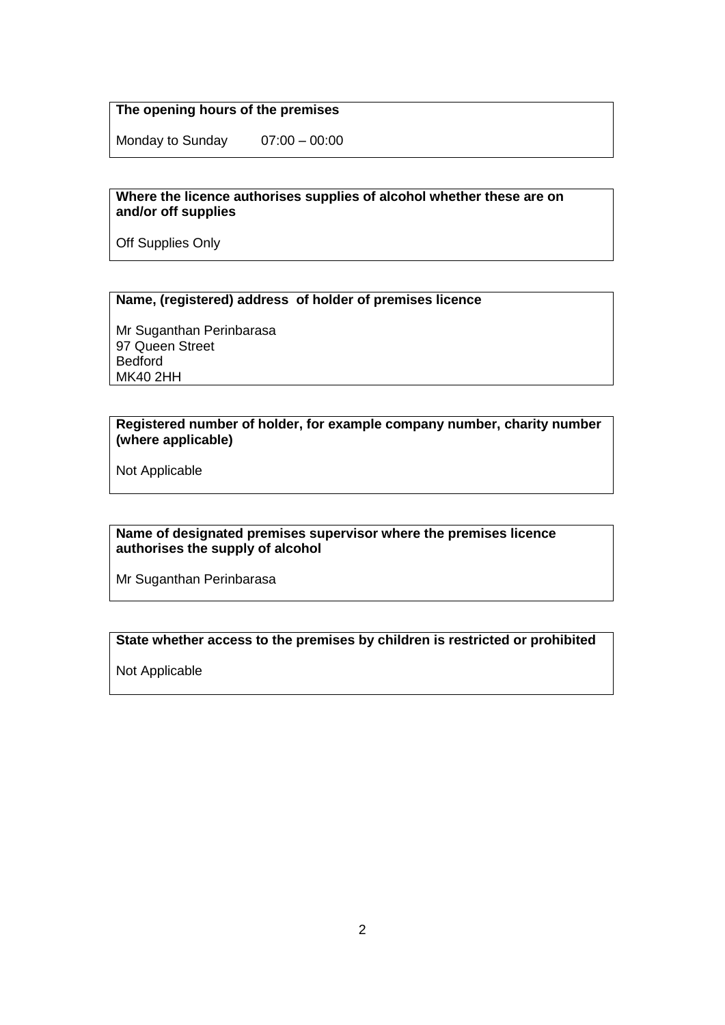## **The opening hours of the premises**

Monday to Sunday  $07:00 - 00:00$ 

#### **Where the licence authorises supplies of alcohol whether these are on and/or off supplies**

Off Supplies Only

#### **Name, (registered) address of holder of premises licence**

Mr Suganthan Perinbarasa 97 Queen Street Bedford MK40 2HH

#### **Registered number of holder, for example company number, charity number (where applicable)**

Not Applicable

#### **Name of designated premises supervisor where the premises licence authorises the supply of alcohol**

Mr Suganthan Perinbarasa

#### **State whether access to the premises by children is restricted or prohibited**

Not Applicable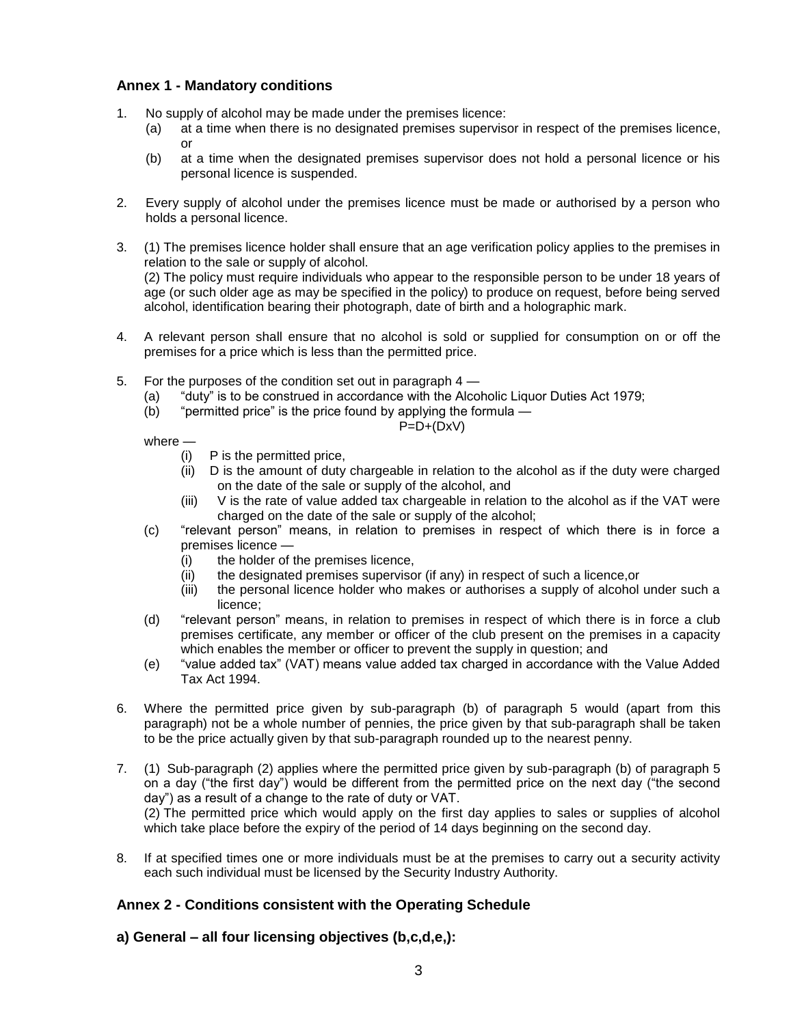### **Annex 1 - Mandatory conditions**

- 1. No supply of alcohol may be made under the premises licence:
	- (a) at a time when there is no designated premises supervisor in respect of the premises licence, or
	- (b) at a time when the designated premises supervisor does not hold a personal licence or his personal licence is suspended.
- 2. Every supply of alcohol under the premises licence must be made or authorised by a person who holds a personal licence.
- 3. (1) The premises licence holder shall ensure that an age verification policy applies to the premises in relation to the sale or supply of alcohol. (2) The policy must require individuals who appear to the responsible person to be under 18 years of age (or such older age as may be specified in the policy) to produce on request, before being served alcohol, identification bearing their photograph, date of birth and a holographic mark.
- 4. A relevant person shall ensure that no alcohol is sold or supplied for consumption on or off the premises for a price which is less than the permitted price.
- 5. For the purposes of the condition set out in paragraph 4
	- (a) "duty" is to be construed in accordance with the Alcoholic Liquor Duties Act 1979;
	- (b) "permitted price" is the price found by applying the formula —

 $P=D+(DxV)$ 

where —

- (i) P is the permitted price,
- (ii) D is the amount of duty chargeable in relation to the alcohol as if the duty were charged on the date of the sale or supply of the alcohol, and
- (iii) V is the rate of value added tax chargeable in relation to the alcohol as if the VAT were charged on the date of the sale or supply of the alcohol;
- (c) "relevant person" means, in relation to premises in respect of which there is in force a premises licence —
	- (i) the holder of the premises licence,
	- (ii) the designated premises supervisor (if any) in respect of such a licence,or
	- (iii) the personal licence holder who makes or authorises a supply of alcohol under such a licence;
- (d) "relevant person" means, in relation to premises in respect of which there is in force a club premises certificate, any member or officer of the club present on the premises in a capacity which enables the member or officer to prevent the supply in question; and
- (e) "value added tax" (VAT) means value added tax charged in accordance with the Value Added Tax Act 1994.
- 6. Where the permitted price given by sub-paragraph (b) of paragraph 5 would (apart from this paragraph) not be a whole number of pennies, the price given by that sub-paragraph shall be taken to be the price actually given by that sub-paragraph rounded up to the nearest penny.
- 7. (1) Sub-paragraph (2) applies where the permitted price given by sub-paragraph (b) of paragraph 5 on a day ("the first day") would be different from the permitted price on the next day ("the second day") as a result of a change to the rate of duty or VAT. (2) The permitted price which would apply on the first day applies to sales or supplies of alcohol which take place before the expiry of the period of 14 days beginning on the second day.
- 8. If at specified times one or more individuals must be at the premises to carry out a security activity each such individual must be licensed by the Security Industry Authority.

## **Annex 2 - Conditions consistent with the Operating Schedule**

## **a) General – all four licensing objectives (b,c,d,e,):**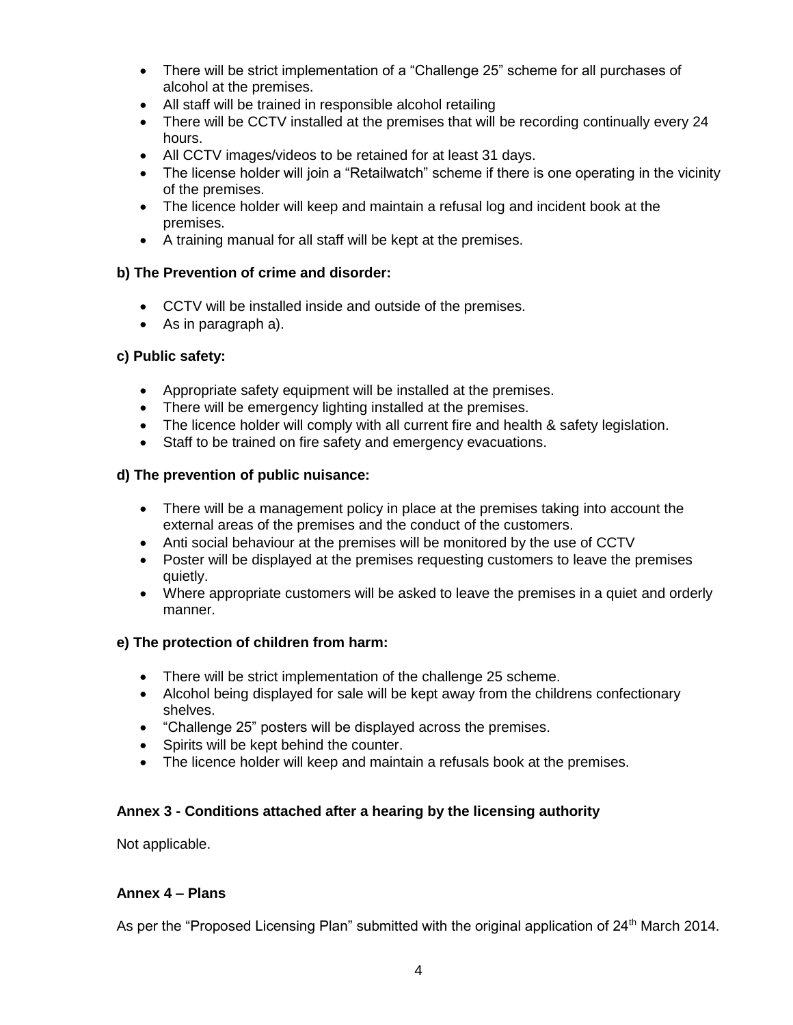- There will be strict implementation of a "Challenge 25" scheme for all purchases of alcohol at the premises.
- All staff will be trained in responsible alcohol retailing
- There will be CCTV installed at the premises that will be recording continually every 24 hours.
- All CCTV images/videos to be retained for at least 31 days.
- The license holder will join a "Retailwatch" scheme if there is one operating in the vicinity of the premises.
- The licence holder will keep and maintain a refusal log and incident book at the premises.
- A training manual for all staff will be kept at the premises.

# **b) The Prevention of crime and disorder:**

- CCTV will be installed inside and outside of the premises.
- As in paragraph a).

# **c) Public safety:**

- Appropriate safety equipment will be installed at the premises.
- There will be emergency lighting installed at the premises.
- The licence holder will comply with all current fire and health & safety legislation.
- Staff to be trained on fire safety and emergency evacuations.

# **d) The prevention of public nuisance:**

- There will be a management policy in place at the premises taking into account the external areas of the premises and the conduct of the customers.
- Anti social behaviour at the premises will be monitored by the use of CCTV
- Poster will be displayed at the premises requesting customers to leave the premises quietly.
- Where appropriate customers will be asked to leave the premises in a quiet and orderly manner.

## **e) The protection of children from harm:**

- There will be strict implementation of the challenge 25 scheme.
- Alcohol being displayed for sale will be kept away from the childrens confectionary shelves.
- "Challenge 25" posters will be displayed across the premises.
- Spirits will be kept behind the counter.
- The licence holder will keep and maintain a refusals book at the premises.

# **Annex 3 - Conditions attached after a hearing by the licensing authority**

Not applicable.

## **Annex 4 – Plans**

As per the "Proposed Licensing Plan" submitted with the original application of 24<sup>th</sup> March 2014.